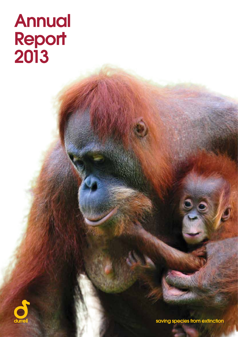# Annual Report 2013



saving species from extinction saving species from extinction

saving species from extensive from extensive

saving species from extensive control to the extensive control to the extensive control to the extensive control to the extensive control to the extensive control to the extensive control to the extinction of the extensive

saving species from extensive from extensive

saving species from extinction

say in the species from the species from extensive

saving species from extensive species from extensive species from extensive species of

saving species from extinction

saving species from extensive from extensive

saving species from extinction

saving species from extinction

saving species from extinction

saving species from extinction

saving species from extensive

saving species from extinction

saving species from extinction

saving species from extinction

saving species from extinction

saving species from extinction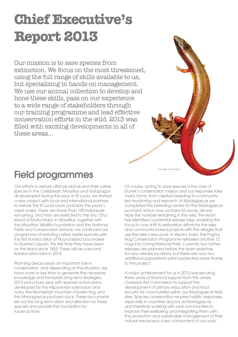# **Chief Executive's Report 2013**

Our mission is to save species from extinction. We focus on the most threatened, using the full range of skills available to us, but specialising in hands-on management. We use our animal collection to develop and hone these skills, pass on our experience to a wide range of stakeholders through our training programme and lead effective conservation efforts in the wild. 2013 was filled with exciting developments in all of these areas…



### Field programmes

Our efforts to restore offshore islands and their native species in the Caribbean, Mauritius and Galapagos all developed during the year. In St Lucia, we started a new project with local and international partners to restore the St Lucia racer, probably the world's rarest snake. There are fewer than 100 individuals remaining, and they are restricted to the tiny 12ha island of Maria Major. In Mauritius, together with the Mauritian Wildlife Foundation and the National Parks and Conservation Service, we continued our programme of restoring native reptile species with the first translocation of Round Island boa snakes to Gunner's Quoin, the first time they have been on this island since 1853. There will be a second translocation later in 2014.

Planning always plays an important role in conservation, and depending on the situation, we have more or less time to generate the necessary knowledge and formulate long-term strategies. 2013 was a busy year with species action plans developed for the Hispaniolan solenodon and hutia, the Montserrat mountain chicken frog and the Madagascar pochard duck. These documents set out the long-term vision and direction for these species and provide the foundation for future actions.

Of course, acting to save species is the core of Durrell's conservation mission and our responses take many forms, from captive breeding to communityled monitoring and research. In Madagascar we completed the breeding centre for the Madagascar pochard, which now contains 55 ducks, almost triple the number remaining in the wild. The team has identified a potential release lake, enabling the focus to now shift to restoration efforts for the lake and community-based projects with the villages that use the lake's resources. In Assam, India, the Pygmy Hog Conservation Programme released another 12 hogs into Orang National Park. Currently two further releases are planned before the team searches for new release locations, but there are now two additional populations within protected areas thanks to the project.

A major achievement for us in 2013 was securing three years of financial support from the Jersey Overseas Aid Commission to support the development of primary education and food security for communities within our Madagascar field sites. Species conservation requires holistic responses, especially in countries as poor as Madagascar, and therefore working with rural communities to improve their wellbeing and integrating them with the protection and sustainable management of their natural resources is a key component of our work.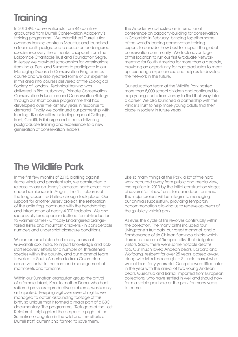## **Training**

In 2013 495 conservationists from 44 countries graduated from Durrell Conservation Academy's training programme. We established Durrell's first overseas training centre in Mauritius and launched a four month postgraduate course on endangered species recovery there thanks to support from The Balcombe Charitable Trust and Foundation Segré. In Jersey we provided scholarships for veterinarians from India, Peru and Sumatra to participate in our Managing Disease in Conservation Programmes course and we also injected some of our expertise in this area into courses delivered at the Zoological Society of London. Technical training was delivered in Bird Husbandry, Primate Conservation, Conservation Education and Conservation Biology through our short course programme that has developed over the last few years in response to demand. Finally we continued our partnership with leading UK universities, including Imperial College, Kent, Cardiff, Edinburgh and others, delivering postgraduate training and experience to a new generation of conservation leaders.

The Academy co-hosted an international conference on capacity-building for conservation in Colombia in February, bringing together some of the world's leading conservation training experts to consider how best to support the global conservation community. We took advantage of this location to run our first Graduate Network meeting for South America for more than a decade, providing an opportunity for past graduates to meet up, exchange experiences, and help us to develop the network in the future.

Our education team at the Wildlife Park hosted more than 5,000 school children and continued to help young adults from Jersey to find their way into a career. We also launched a partnership with the Prince's Trust to help more young adults find their place in society in future years.

### The Wildlife Park

In the first few months of 2013, battling against fierce winds and persistent rain, we constructed a release aviary on Jersey's exposed north coast, and under balmier skies in August, the first releases of the long-absent red-billed chough took place. Our support for another Jersey project, the restoration of the agile frog, continued with the headstarting and introduction of nearly 4,000 tadpoles. We also successfully bred species destined for reintroduction to warmer climes - Critically Endangered orangetailed skinks and mountain chickens - in considerable numbers and under strict biosecure conditions.

We ran an amphibian husbandry course at Guwahati Zoo, India, to impart knowledge and kickstart recovery efforts for a number of threatened species within the country, and our mammal team travelled to South America to train Colombian conservationists in the care and management of marmosets and tamarins.

Within our Sumatran orangutan group the arrival of a female infant, Kea, to mother Dana, who had suffered previous reproductive problems, was keenly anticipated. Keeping vigil over several nights, we managed to obtain astounding footage of this birth, so unique that it formed a major part of a BBC documentary. The programme, 'Refugees of the Lost Rainforest', highlighted the desperate plight of the Sumatran orangutan in the wild and the efforts of Durrell staff, current and former, to save them.

Like so many things at the Park, a lot of the hard work occurred away from public and media view, exemplified in 2013 by the initial construction stages of several 'off-show' units for our resident animals. This major project will be integral to managing our animals successfully, providing temporary accommodation allowing us to redevelop areas of the (publicly visible) park.

As ever, the cycle of life revolves continually within the collection. The many births included four Livingstone's fruit bats, our rarest mammal, and a flamboyance of six Chilean flamingo chicks which starred in a series of 'keeper talks' that delighted visitors. Sadly, there were some notable deaths too. Our much loved Andean bears, Barbara and Wolfgang, resident for over 25 years, passed away, along with Middlesborough, a St Lucia parrot who was at least forty years old. Our spirits were lifted later in the year with the arrival of two young Andean bears, Quechua and Bahia, imported from European collections, who have settled in well and should now form a stable pair here at the park for many years to come.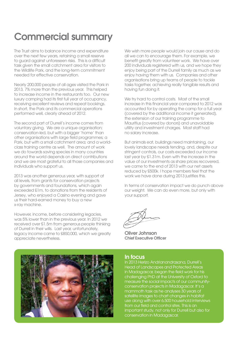### Commercial summary

The Trust aims to balance income and expenditure over the next few years, retaining a small reserve to guard against unforeseen risks. This is a difficult task given the small catchment area for visitors to the Wildlife Park, and the long-term commitment needed for effective conservation.

Nearly 200,000 people of all ages visited the Park in 2013, 7% more than the previous year. This helped to increase income in the restaurants too. Our new luxury camping had its first full year of occupancy, receiving excellent reviews and repeat bookings. In short, the Park and its commercial operations performed well, clearly ahead of 2012.

The second part of Durrell's income comes from voluntary giving. We are a unique organisation; conservation-led, but with a bigger 'home' than other organisations with large field programmes; a Park, but with a small catchment area; and a worldclass training centre as well. The amount of work we do towards saving species in many countries around the world depends on direct contributions and we are most grateful to all those companies and individuals who support us.

2013 was another generous year, with support at all levels, from grants for conservation projects by governments and foundations, which again exceeded £1m, to donations from the residents of Jersey, who enjoyed a Casino evening and gave us their hard-earned money to buy a new x-ray machine.

However, income, before considering legacies, was 5% lower than in the previous year. In 2012 we received over £1.5m from generous people thinking of Durrell in their wills. Last year, unfortunately, legacy income came to £850,000, which we greatly appreciate nevertheless.

We wish more people would join our cause and do all we can to encourage them. For example, we benefit greatly from volunteer work. We have over 200 individuals registered with us, and we hope they enjoy being part of the Durrell family as much as we enjoy having them with us. Companies and other organisations bring up teams of people to tackle tasks together, achieving really tangible results and having fun doing it.

We try hard to control costs. Most of the small increase in this financial year compared to 2012 was accounted for by operating the camp for a full year (covered by the additional income it generated), the extension of our training programme to Mauritius (covered by donors) and unavoidable utility and investment charges. Most staff had no salary increase.

But animals eat, buildings need maintaining, our lovely landscape needs tending, and, despite our stringent controls, our costs exceeded our income last year by £1.31m. Even with the increase in the value of our investments as share prices recovered, we came to the end of 2013 with our net assets reduced by £500k. I hope members feel that the work we have done during 2013 justifies this.

In terms of conservation impact we do punch above our weight. We can do even more, but only with your support.

Oliver Johnson Chief Executive Officer



#### In focus

In 2013 Herizo Andrianandrasana, Durrell's Head of Landscapes and Protected Areas in Madagascar, began the field work for his challenging PhD at the University of Oxford to measure the social impacts of our communityconservation projects in Madagascar. It's a mammoth task as he analyses 30 years of satellite images to chart changes in habitat use along with over 6,500 household interviews from our field and control sites. This is an important study, not only for Durrell but also for conservation in Madagascar.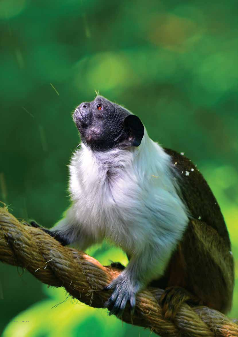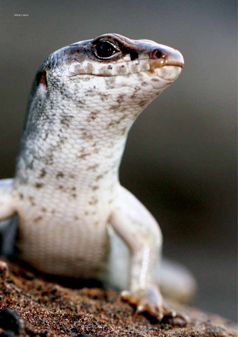

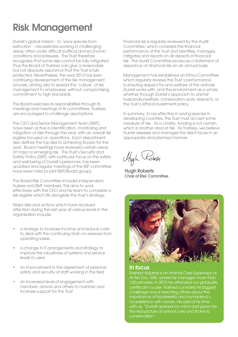## Risk Management

Durrell's global mission - to 'save species from extinction' - necessitates working in challenging areas, often under difficult political and economic conditions and pressures. The Trust therefore recognises that some risks cannot be fully mitigated. Thus the Board of Trustees can give a reasonable but not absolute assurance that the Trust is fully protected. Nevertheless, the year 2013 has seen continuing development of the risk management process, aiming also to spread the 'culture' of risk management to employees, without compromising commitment to high standards.

The Board exercises its responsibilities through its meetings and meetings of its committees. Trustees are encouraged to challenge assumptions.

The CEO and Senior Management Team (SMT) have been active in identification, monitoring and mitigation of risks through the year, with an overall risk register focused on operations. Each department also defines the top risks to achieving its plan for the year. Board meetings have reviewed certain areas of major or emerging risk. The Trust's Security and Safety Policy (SSP), with particular focus on the safety and well-being of Durrell's personnel, has been updated and regular meetings of the SSP committee have been held (a joint SMT/Board group).

The Board Risk Committee includes independent, Trustee and SMT members. This aims to work effectively with the CEO and his team to complete a risk register which fits alongside the Trust's strategy.

Major risks and actions which have received attention during the last year at various levels in the organisation include:

- a strategy to increase income and reduce costs to deal with the continuing drain on reserves from operating losses
- a change in IT arrangements and strategy to improve the robustness of systems and service levels to users
- an improvement in the assessment of personal safety and security of staff working in the field
- an increased level of engagement with members, donors and others to maintain and increase support for the Trust

Financial risk is regularly reviewed by the Audit Committee, which considers the financial performance of the Trust and identifies, manages, mitigates and reports on all aspects of financial risk. The Audit Committee produces a statement of assurance on financial risk on an annual basis.

Management has established an Ethics Committee which regularly reviews the Trust's performance in ensuring respect for and welfare of the animals Durrell works with, and the environment as a whole, whether through Durrell's approach to animal husbandry/welfare, conservation work, research, or the Trust's ethical investment policy.

In summary, to be effective in saving species in developing countries, the Trust must accept some measure of risk. As a charity, funding is not certain, which is another area of risk. As Trustees, we believe Durrell assesses and manages the risks it faces in an appropriate and planned manner.

Augh Robert

Hugh Roberts Chair of Risk Committee



#### In focus

Rashed Alqamzi is an Animal Care Supervisor at Al Ain Zoo, UAE, where he manages more than 130 primates. In 2013 he attended our graduate certificate course. Rashed considers his biggest challenge now is teaching others about the importance of biodiversity and humankind's co-existence with nature. He said of his time with us, "Durrell opened my mind and gave me the real picture of animal care and its link to conservation".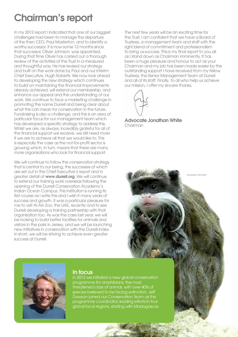### Chairman's report

In my 2012 report I indicated that one of our biggest challenges had been to manage the departure of the then CEO, Paul Masterton, and to identify a worthy successor. It is now some 12 months since that successor, Oliver Johnson, was appointed. During that time Oliver has carried out a thorough review of the activities of the Trust in a measured and thoughtful way. He has revised our strategy and built on the work done by Paul and our interim Chief Executive, Hugh Roberts. We now look ahead to developing the new strategy which continues to build on maintaining the financial improvements already achieved, will extend our membership, and enhance our appeal and the understanding of our work. We continue to face a marketing challenge in promoting the name Durrell and being clear about what this can mean for conservation in the future. Fundraising is also a challenge, and this is an area of particular focus for our management team which has developed a specific strategy to address this. Whilst we are, as always, incredibly grateful for all of the financial support we receive, we still need more if we are to achieve all that we would like to. This is especially the case as the not-for-profit sector is growing which, in turn, means that there are many more organisations who look for financial support.

We will continue to follow the conservation strategy that is central to our being, the successes of which are set out in the Chief Executive's report and in greater detail at www.durrell.org. We will continue to extend our training work overseas following the opening of the Durrell Conservation Academy's Indian Ocean Campus. This institution is running its first course as I write this and I wish it many years of success and growth. It was a particular pleasure for me to visit Al Ain Zoo, the UAE, recently and to see Durrell developing a training partnership with that organisation too. As was the case last year, we will be looking to build better facilities for animals and visitors in the park in Jersey, and we will be launching new initiatives in conservation with the Durrell Index. In short, we will be striving to achieve even greater success at Durrell.

The next few years will be an exciting time for the Trust. I am confident that we have a Board of Trustees, a management team and staff with the right blend of commitment and professionalism to bring us success. This is my final report to you all as I stand down as Chairman imminently. It has been a huge pleasure and honour to act as your Chairman and my job has been made easier by the outstanding support I have received from my fellow Trustees, the Senior Management Team at Durrell and all of its staff. Finally, to all who help us achieve our mission, I offer my sincere thanks.



Advocate Jonathan White Chairman





### In focus

In 2013 we initiated a new global conservation programme for amphibians, the most threatened class of animal, with over 40% of species believed to be facing extinction. Jeff Dawson joined our Conservation Team as the programme coordinator, leading efforts in four global focal regions, starting with Madagascar.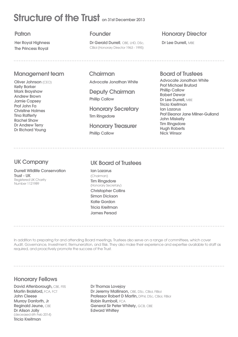### Structure of the Trust on 31st December 2013

### **Patron**

Her Royal Highness The Princess Royal

### Management team Chairman Board of Trustees

**Oliver Johnson** (CEO) Kelly Barker Mark Brayshaw Andrew Brown Jamie Copsey Prof John Fa Christine Holmes Tina Rafferty Rachel Shaw Dr Andrew Terry Dr Richard Young

Dr Gerald Durrell, OBE, LHD, DSc, CBiol (Honorary Director 1963 - 1995)

Advocate Jonathan White

Deputy Chairman Phillip Callow

Honorary Secretary Tim Ringsdore

Honorary Treasurer Phillip Callow

### Founder **Honorary Director**

Dr Lee Durrell, MBE

Advocate Jonathan White Prof Michael Bruford Phillip Callow Robert Dewar Dr Lee Durrell, MBE Tricia Kreitman Ian Lazarus Prof Eleanor Jane Milner-Gulland John Miskelly Tim Ringsdore Hugh Roberts Nick Winsor

Durrell Wildlife Conservation Trust - UK Registered UK Charity Number 1121989

### UK Company UK Board of Trustees

Ian Lazarus (Chairman) Tim Ringsdore (Honorary Secretary) Christopher Collins Simon Dickson Katie Gordon Tricia Kreitman James Persad

In addition to preparing for and attending Board meetings, Trustees also serve on a range of committees, which cover Audit, Governance, Investment, Remuneration, and Risk. They also make their experience and expertise available to staff as required, and proactively promote the success of the Trust.

Honorary Fellows

David Attenborough, CBE, FRS Martin Bralsford, FCA, FCT John Cleese Murray Danforth, Jr Reginald Jeune, CBE Dr Alison Jolly (deceased 6th Feb 2014) Tricia Kreitman

Dr Thomas Lovejoy Dr Jeremy Mallinson, OBE, DSc, CBiol, FIBiol Professor Robert D Martin, DPhil, DSc, CBiol, FIBiol Robin Rumboll, FCA General Sir Peter Whitely, GCB, OBE Edward Whitley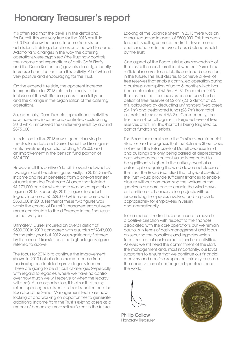### Honorary Treasurer's report

It is often said that the devil is in the detail and, for Durrell, this was very true for the 2013 result. In 2013 Durrell saw increased income from visitor admissions, training, donations and the wildlife camp. Additionally, changes in the way the catering operations were organised (the Trust now controls the income and expenditure of both Café Firefly and the Dodo Restaurant) gave rise to a significantly increased contribution from this activity. All of which is very positive and encouraging for the Trust.

On the expenditure side, the apparent increase in expenditure for 2013 related primarily to the inclusion of the wildlife camp costs for a full year and the change in the organisation of the catering operations.

So, essentially, Durrell's main 'operational' activities saw increased income and controlled costs during 2013 which improved the underlying result by around £375,000.

In addition to this, 2013 saw a general rallying in the stock markets and Durrell benefitted from agins on its investment portfolio totalling £496,000 and an improvement in the pension fund position of £314,000.

However, all this positive 'detail' is overshadowed by two significant headline figures. Firstly, in 2012 Durrell's income and result benefited from a one-off transfer of funds from the EcoHealth Alliance that totalled £1,173,000 and for which there was no comparable figure in 2013. Secondly, 2012's figures included legacy income of £1,525,000 which compared with £850,000 in 2013. Neither of these two figures was within the control of Durrell's management but were major contributors to the difference in the final result for the two years.

Ultimately, Durrell incurred an overall deficit of £500,000 in 2013 compared with a surplus of £343,000 for the prior year but 2012 was significantly flattered by the one-off transfer and the higher legacy figure referred to above.

The focus for 2014 is to continue the improvement shown in 2013 but also to increase income from fundraising and look to improve legacy income. These are going to be difficult challenges (especially with regard to legacies, where we have no control over how much we will receive or when the legacy will arise). As an organisation, it is clear that being reliant upon legacies is not an ideal situation and the Board and the Senior Management Team are now looking at and working on opportunities to generate additional income from the Trust's existing assets as a means of becoming more self-sufficient in the future.

Looking at the Balance Sheet, in 2013 there was an overall reduction in assets of £500,000. This has been funded by selling some of the Trust's investments and a reduction in the overall cash balances held by the Trust.

One aspect of the Board's fiduciary stewardship of the Trust is the consideration of whether Durrell has sufficient reserves to enable its continued operation in the future. The Trust desires to achieve a level of free reserves that enable continued operation during a business interruption of up to 6 months which has been calculated at £1.5m. At 31 December 2013 the Trust had no free reserves and actually had a deficit of free reserves of £2.6m (2012 deficit of £2.1 m), calculated by deducting unfinanced fixed assets (£4.1m) and designated funds (£3.7m) from total unrestricted reserves of £5.2m. Consequently, the Trust has a shortfall against its targeted level of free reserves of £4.1m. This shortfall is being targeted as part of fundraising efforts.

The Board has considered the Trust's overall financial situation and recognises that the Balance Sheet does not reflect the total assets of Durrell because land and buildings are only being carried at depreciated cost, whereas their current value is expected to be significantly higher. In the unlikely event of a catastrophe requiring the wind down and closure of the Trust, the Board is satisfied that physical assets of the Trust would provide sufficient finances to enable closure without compromising the welfare of the species in our care and to enable the wind down or transition of all conservation projects without jeopardising the species involved and to provide appropriately for employees in Jersey and internationally.

To summarise, the Trust has continued to move in a positive direction with respect to the finances associated with the core operations but we remain cautious in terms of cash management and focus on securing the donations and legacies which form the core of our income to fund our activities. As ever, we still need the commitment of the staff, the management and, most importantly, our loyal supporters to ensure that we continue our financial recovery and can focus upon our primary purpose, the conservation of endangered species around the world.





Phillip Callow Honorary Treasurer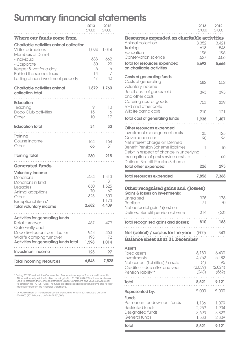## Summary financial statements

|                                                                                                                               | 2013<br>$E,000$ $E,000$    | 2012               |
|-------------------------------------------------------------------------------------------------------------------------------|----------------------------|--------------------|
| <b>Where our funds come from</b>                                                                                              |                            |                    |
| <b>Charitable activities animal collection</b><br>Visitor admissions<br><b>Members of Durrell</b>                             |                            | 1,094 1,014        |
| - Individual<br>- Corporate                                                                                                   | 688<br>30                  | 662<br>29          |
| Keeper & vet for a day<br>Behind the scenes tours<br>Letting of non-investment property                                       | 6<br>14<br>47              | -6<br>7<br>42      |
| <b>Charitable activities animal</b><br>collection total                                                                       |                            | 1,879 1,760        |
| <b>Education</b>                                                                                                              |                            |                    |
| Teaching<br>Dodo Club activities<br>Other                                                                                     | 9<br>15<br>10 <sup>°</sup> | 10<br>- 6<br>17    |
| <b>Education total</b>                                                                                                        | 34                         | 33                 |
| <b>Training</b><br>Course income<br>Other                                                                                     | 164<br>66                  | 164<br>51          |
| <b>Training Total</b>                                                                                                         | 230                        | 215                |
| <b>Generated funds</b>                                                                                                        |                            |                    |
| <b>Voluntary income</b><br>Donations<br>Donations in kind                                                                     | 1,434                      | 1,313<br>31        |
| Legacies<br>Animal adoptions<br>Other                                                                                         | 850<br>70<br>328           | 1,525<br>67<br>300 |
| Exceptional items*<br><b>Total voluntary income</b>                                                                           | $\sim$<br>2,682 4,409      | 1,173              |
| <b>Activities for generating funds</b><br>Retail turnover                                                                     | 457                        | 479                |
| Café Firefly and<br>Dodo Restaurant contribution<br>Wildlife camping turnover<br><b>Activities for generating funds total</b> | 948<br>193<br>1,598        | 463<br>72<br>1,014 |
| .<br><b>Investment income</b>                                                                                                 | 123                        | 97                 |
| <b>Total incoming resources</b>                                                                                               | 6,546                      | 7,528              |
|                                                                                                                               |                            |                    |

\* During 2012 Durrell Wildlife Conservation Trust was in receipt of funds from EcoHealth<br>Alliance (formerly Wildlife Trust) amounting to \$1,173,000. \$609,000 of these funds was<br>used to establish the Gertrude Rathbone Jaspe

\*\* A reassessment of the defined benefit pension scheme in 2013 shows a deficit of £248,000 (2012 shows a deficit of £562,000)

| £'000     | £'000          |                                                                                  | £'000        | £'000        |
|-----------|----------------|----------------------------------------------------------------------------------|--------------|--------------|
|           |                | <b>Resources expended on charitable activities</b>                               |              |              |
|           |                | Animal collection                                                                | 3,352        | 3,421        |
| 1,094     | 1,014          | Training                                                                         | 618          | 543          |
|           |                | Education<br>Conservation science                                                | 195<br>1,527 | 196<br>1,506 |
| 688       | 662            | <b>Total for resources expended</b>                                              | 5,692        |              |
| 30<br>6   | 29<br>6        | on charitable activities                                                         |              | 5,666        |
| 14        | $\overline{7}$ |                                                                                  |              |              |
| 47        | 42             | <b>Costs of generating funds</b>                                                 |              |              |
|           |                | Costs of generating                                                              | 582          | 552          |
| 1,879     | 1,760          | voluntary income<br>Retail costs of goods sold                                   |              |              |
|           |                | and other costs                                                                  | 393          | 395          |
|           |                | Catering cost of goods                                                           | 753          | 339          |
| 9         | 10             | sold and other costs                                                             |              |              |
| 15        | 6              | Wildlife camp costs                                                              | 210          | 121          |
| 10        | 17             | <b>Total cost of generating funds</b>                                            | 1,938        | 1,407        |
| 34        | 33             | Other resources expended                                                         |              |              |
|           |                | Investment management costs                                                      | 135          | 125          |
|           |                | Governance costs                                                                 | 90           | 94           |
| 164       | 164            | Net interest charge on Defined                                                   |              |              |
| 66        | 51             | <b>Benefit Pension Scheme liabilities</b>                                        | 1            | 10           |
| 230       | 215            | Debit in respect of change in underlying<br>assumptions of past service costs to |              | 66           |
|           |                | Defined Benefit Pension Scheme                                                   |              |              |
|           |                | <b>Total other expended</b>                                                      | 226          | 295          |
| 1,434     | 1,313          | <b>Total resources expended</b>                                                  | 7,856        | 7,368        |
|           | 31             |                                                                                  |              |              |
| 850       | 1,525          | <b>Other recognised gains and (losses)</b>                                       |              |              |
| 70<br>328 | 67<br>300      | <b>Gains &amp; losses on investments:</b>                                        |              |              |
|           | 1,173          | Unrealised                                                                       | 325          | 176          |
| 2,682     | 4,409          | Realised                                                                         | 171          | 70           |
|           |                | Net actuarial gain / (loss) on<br>Defined Benefit pension scheme                 | 314          | (63)         |
|           |                |                                                                                  |              |              |
| 457       | 479            | Total recognised gains and (losses) 810                                          |              | 183          |
| 948       | 463            | <b>Net (deficit) / surplus for the year</b> (500) 343                            |              |              |
| 193       | 72             | <b>Balance sheet as at 31 December</b>                                           |              |              |
| ,598      | 1,014          |                                                                                  |              |              |
|           |                |                                                                                  |              |              |

| <b>Total</b>                                                                                                                                | 8,621                                     | 9,121                                    |
|---------------------------------------------------------------------------------------------------------------------------------------------|-------------------------------------------|------------------------------------------|
| <b>Funds</b><br>Permanent endowment funds<br>Restricted funds<br>Designated funds<br>General funds                                          | 1,136<br>2,259<br>3,693<br>1,533          | 1,079<br>1,904<br>3,829<br>2,309         |
| Total<br><b>Represented by:</b>                                                                                                             | 8,621<br>£'000                            | 9,121<br>£'000                           |
| <b>Assets</b><br>Fixed assets<br>Investments<br>Net current (liabilities) / assets<br>Creditors - due after one year<br>Pension liability** | 6,180<br>4,752<br>(4)<br>(2,059)<br>(248) | 6,430<br>5,182<br>95<br>(2,024)<br>(562) |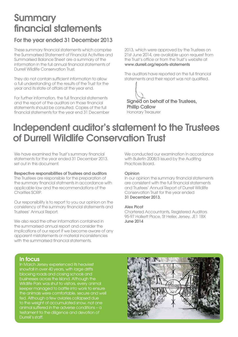### **Summary** financial statements

### For the year ended 31 December 2013

These summary financial statements which comprise the Summarised Statement of Financial Activities and Summarised Balance Sheet are a summary of the information in the full annual financial statements of Durrell Wildlife Conservation Trust.

They do not contain sufficient information to allow a full understanding of the results of the Trust for the year and its state of affairs at the year end.

For further information, the full financial statements and the report of the auditors on those financial statements should be consulted. Copies of the full financial statements for the year end 31 December 2013, which were approved by the Trustees on 21st June 2014, are available upon request from the Trust's office or from the Trust's website at www.durrell.org/reports-statements

The auditors have reported on the full financial statements and their report was not qualified.

Signed on behalf of the Trustees, Phillip Callow Honorary Treasurer

### Independent auditor's statement to the Trustees of Durrell Wildlife Conservation Trust

We have examined the Trust's summary financial statements for the year ended 31 December 2013. set out in this document.

#### Respective responsibilities of Trustees and auditors

The Trustees are responsible for the preparation of the summary financial statments in accordance with applicable law and the recommendations of the Charities SORP.

Our responsibility is to report to you our opinion on the consistency of the summary financial statements and Trustees' Annual Report.

We also read the other information contained in the summarised annual report and consider the implications of our report if we become aware of any apparent mistatements or material inconsistencies with the summarised financial statements.

We conducted our examination in accordance with Bulletin 2008/3 issued by the Auditing Practices Board.

#### Opinion

In our opinion the summary financial statements are consistent with the full financial statements and Trustees' Annual Report of Durrell Wildlife Conservation Trust for the year ended 31 December 2013.

#### Alex Picot

Chartered Accountants, Registered Auditors 95-97 Halkett Place, St Helier, Jersey, JE1 1BX June 2014

### In focus

In March Jersey experienced its heaviest snowfall in over 40 years, with large drifts blocking roads and closing schools and businesses across the Island. Although the Wildlife Park was shut to visitors, every animal keeper managed to battle into work to ensure the animals were comfortable, secure and well fed. Although a few aviaries collapsed due to the weight of accumulated snow, not one animal suffered in the adverse conditions – a testament to the diligence and devotion of Durrell's staff.

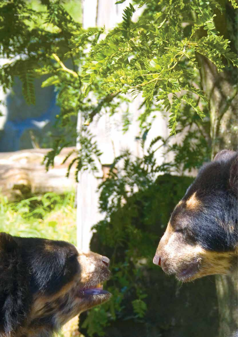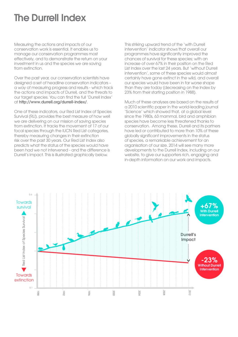### The Durrell Index

Measuring the actions and impacts of our conservation work is essential. It enables us to manage our conservation programmes most effectively, and to demonstrate the return on your investment in us and the species we are saving from extinction.

Over the past year, our conservation scientists have designed a set of headline conservation indicators – a way of measuring progress and results - which track the actions and impacts of Durrell, and the threats to our target species. You can find the full 'Durrell Index' at http://www.durrell.org/durrell-index/.

One of these indicators, our Red List Index of Species Survival (RLI), provides the best measure of how well we are delivering on our mission of saving species from extinction. It tracks the movement of 17 of our focal species through the IUCN Red List categories, thereby measuring changes in their extinction risk over the past 30 years. Our Red List Index also predicts what the status of the species would have been had we not intervened - and the difference is Durrell's impact. This is illustrated graphically below.

This striking upward trend of the 'with Durrell intervention' indicator shows that overall our programmes have significantly improved the chances of survival for these species; with an increase of over 67% in their position on the Red List Index over the last 24 years. But 'without Durrell intervention', some of these species would almost certainly have gone extinct in the wild, and overall our species would have been in far worse shape than they are today (decreasing on the Index by 23% from their starting position in 1988).

Much of these analyses are based on the results of a 2010 scientific paper in the world-leading journal 'Science' which showed that, at a global level since the 1980s, 63 mammal, bird and amphibian species have become less threatened thanks to conservation. Among these, Durrell and its partners have led or contributed to more than 10% of these globally significant improvements in the status of species, a remarkable achievement for an organisation of our size. 2014 will see many more developments to the Durrell Index, including on our website, to give our supporters rich, engaging and in-depth information on our work and impacts.